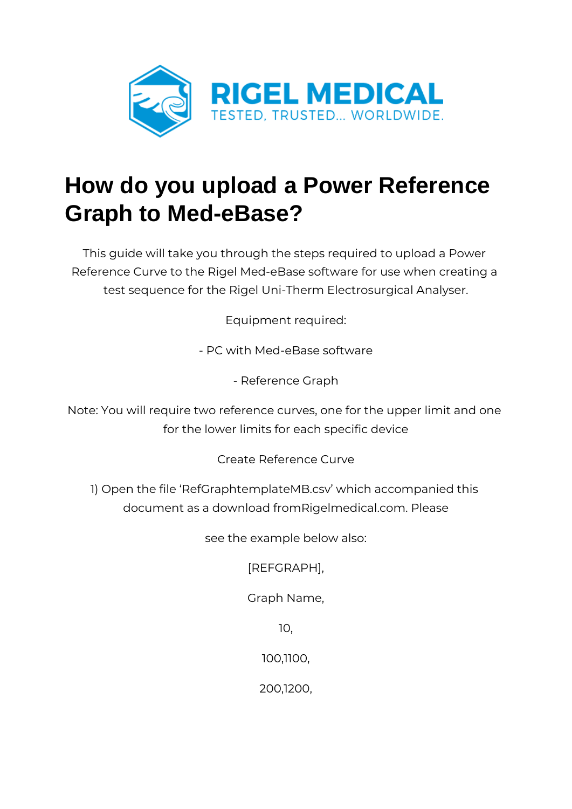

## **How do you upload a Power Reference Graph to Med-eBase?**

This guide will take you through the steps required to upload a Power Reference Curve to the Rigel Med-eBase software for use when creating a test sequence for the Rigel Uni-Therm Electrosurgical Analyser.

Equipment required:

- PC with Med-eBase software

- Reference Graph

Note: You will require two reference curves, one for the upper limit and one for the lower limits for each specific device

Create Reference Curve

1) Open the file 'RefGraphtemplateMB.csv' which accompanied this document as a download fromRigelmedical.com. Please

see the example below also:

[REFGRAPH],

Graph Name,

10,

100,1100,

200,1200,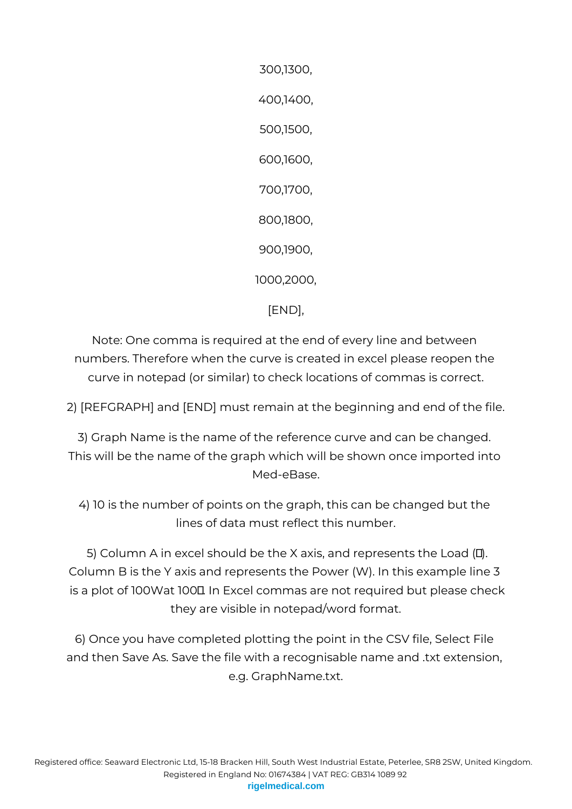300,1300, 400,1400, 500,1500, 600,1600, 700,1700, 800,1800, 900,1900, 1000,2000, [END],

Note: One comma is required at the end of every line and between numbers. Therefore when the curve is created in excel please reopen the curve in notepad (or similar) to check locations of commas is correct.

2) [REFGRAPH] and [END] must remain at the beginning and end of the file.

3) Graph Name is the name of the reference curve and can be changed. This will be the name of the graph which will be shown once imported into Med-eBase.

4) 10 is the number of points on the graph, this can be changed but the lines of data must reflect this number.

5) Column A in excel should be the X axis, and represents the Load  $(II)$ . Column B is the Y axis and represents the Power (W). In this example line 3 is a plot of 100Wat 100L In Excel commas are not required but please check they are visible in notepad/word format.

6) Once you have completed plotting the point in the CSV file, Select File and then Save As. Save the file with a recognisable name and .txt extension, e.g. GraphName.txt.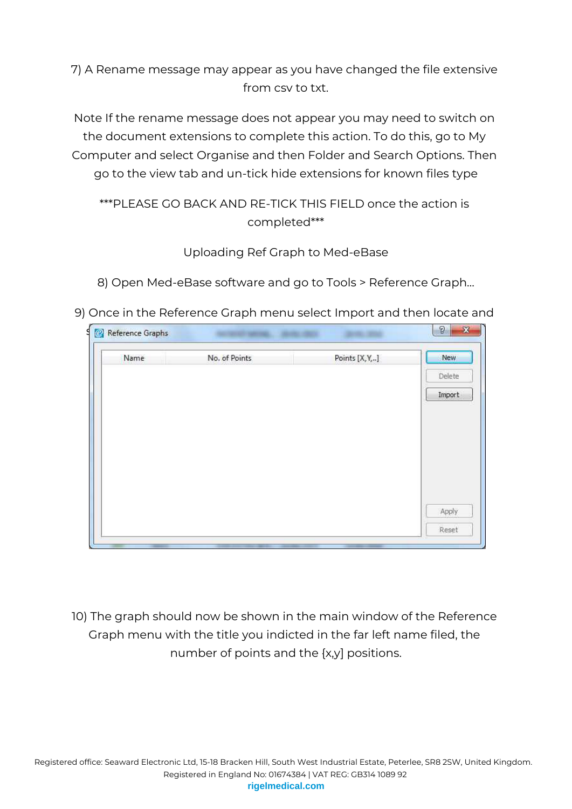## 7) A Rename message may appear as you have changed the file extensive from csv to txt.

Note If the rename message does not appear you may need to switch on the document extensions to complete this action. To do this, go to My Computer and select Organise and then Folder and Search Options. Then go to the view tab and un-tick hide extensions for known files type

## \*\*\*PLEASE GO BACK AND RE-TICK THIS FIELD once the action is completed\*\*\*

## Uploading Ref Graph to Med-eBase

8) Open Med-eBase software and go to Tools > Reference Graph…

9) Once in the Reference Graph menu select Import and then locate and

| Reference Graphs |               |                | $\Omega$<br>R |
|------------------|---------------|----------------|---------------|
| Name             | No. of Points | Points [X, Y,] | New           |
|                  |               |                | Delete        |
|                  |               |                | Import        |
|                  |               |                |               |
|                  |               |                |               |
|                  |               |                |               |
|                  |               |                |               |
|                  |               |                |               |
|                  |               |                | Apply         |
|                  |               |                | Reset         |

10) The graph should now be shown in the main window of the Reference Graph menu with the title you indicted in the far left name filed, the number of points and the {x,y] positions.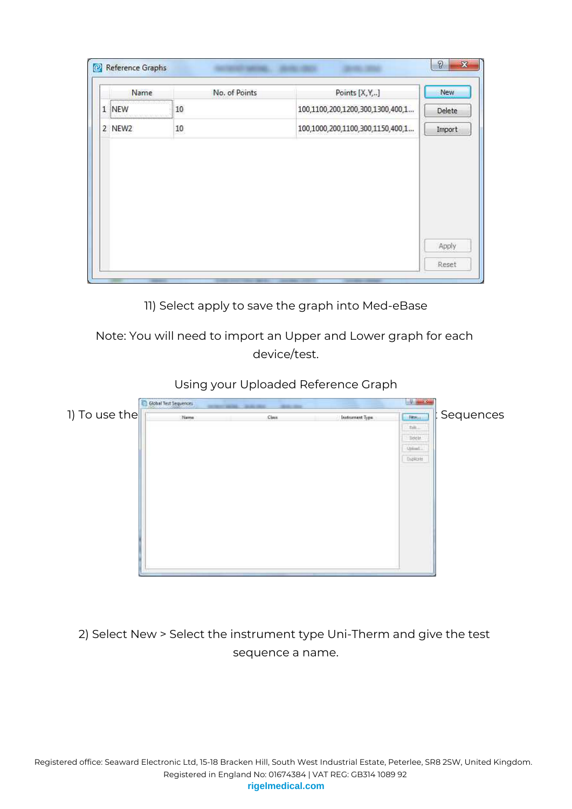| Name   | No. of Points | Points [X, Y,]                   | <b>New</b> |
|--------|---------------|----------------------------------|------------|
| 1 NEW  | 10            | 100,1100,200,1200,300,1300,400,1 | Delete     |
| 2 NEW2 | 10            | 100,1000,200,1100,300,1150,400,1 | Import     |
|        |               |                                  |            |
|        |               |                                  |            |
|        |               |                                  |            |
|        |               |                                  |            |
|        |               |                                  | Apply      |

11) Select apply to save the graph into Med-eBase

Note: You will need to import an Upper and Lower graph for each device/test.





2) Select New > Select the instrument type Uni-Therm and give the test sequence a name.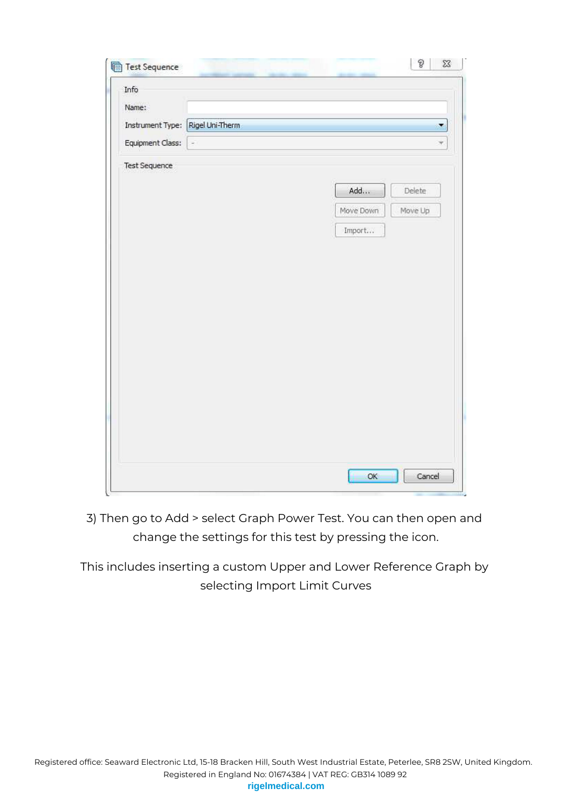| Info                             |          |                      |    |
|----------------------------------|----------|----------------------|----|
| Name:                            |          |                      |    |
| Instrument Type: Rigel Uni-Therm |          |                      | ×  |
| Equipment Class:                 | $\omega$ |                      | ý. |
| Test Sequence                    |          |                      |    |
|                                  |          | Add<br>Delete        |    |
|                                  |          | Move Down<br>Move Up |    |
|                                  |          | Import               |    |
|                                  |          |                      |    |
|                                  |          |                      |    |
|                                  |          |                      |    |
|                                  |          |                      |    |
|                                  |          |                      |    |
|                                  |          |                      |    |
|                                  |          |                      |    |
|                                  |          |                      |    |
|                                  |          |                      |    |
|                                  |          |                      |    |
|                                  |          |                      |    |
|                                  |          |                      |    |
|                                  |          |                      |    |

3) Then go to Add > select Graph Power Test. You can then open and change the settings for this test by pressing the icon.

This includes inserting a custom Upper and Lower Reference Graph by selecting Import Limit Curves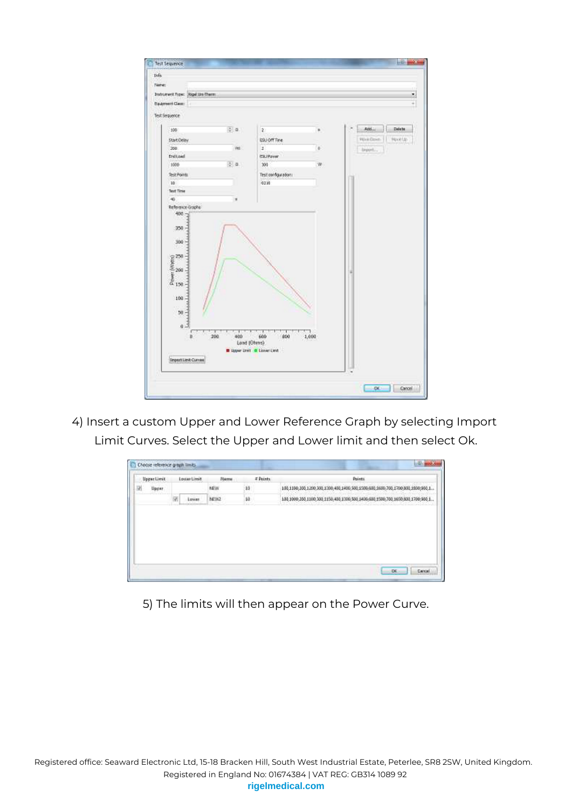| None:                                                          |                 |                                                |       |           |        |
|----------------------------------------------------------------|-----------------|------------------------------------------------|-------|-----------|--------|
|                                                                |                 |                                                |       |           |        |
| <b>Intrument Type: Rigel Lits Therm:</b>                       |                 |                                                |       |           | ż,     |
| <b>Dalement Clean:</b>                                         |                 |                                                |       |           | ÷      |
| Test Sequence                                                  |                 |                                                |       |           |        |
| 100                                                            | $= 0.1$         | æ.                                             | ×     | Addis.    | Delete |
| Start Delay                                                    |                 | ESJOffTire                                     |       | Wee Green | Neekla |
| 200                                                            | Veg.            | $\mathbf{1}$                                   | ö     | buck.     |        |
| Erdinad                                                        |                 | ESUPaver                                       |       |           |        |
| 1000                                                           | $\frac{1}{2}$ . | 300                                            | w     |           |        |
| Test Points                                                    |                 | Test configurations                            |       |           |        |
| 10 <sup>°</sup>                                                |                 | 0230                                           |       |           |        |
| <b>Text Time</b>                                               |                 |                                                |       |           |        |
| $-6$                                                           | ×               |                                                |       |           |        |
| Reference Graphs                                               |                 |                                                |       |           |        |
| 350                                                            |                 |                                                |       |           |        |
|                                                                |                 |                                                |       |           |        |
| 300                                                            |                 |                                                |       |           |        |
|                                                                |                 |                                                |       |           |        |
|                                                                |                 |                                                |       |           |        |
|                                                                |                 |                                                |       |           |        |
|                                                                |                 |                                                |       |           |        |
|                                                                |                 |                                                |       |           |        |
|                                                                |                 |                                                |       |           |        |
| $\begin{array}{l} 270 \\ 200 \\ 200 \\ 64 \\ 150 \end{array}.$ |                 |                                                |       |           |        |
| 100.                                                           |                 |                                                |       |           |        |
|                                                                |                 |                                                |       |           |        |
| $50 -$                                                         |                 |                                                |       |           |        |
| $6 -$                                                          |                 |                                                |       |           |        |
|                                                                |                 |                                                |       |           |        |
| ù.                                                             | 200<br>400      | 600<br>800<br>Load (Ohms)                      | 1,000 |           |        |
|                                                                |                 | <b>B</b> Signer Limit <b>&amp; Liover Cent</b> |       |           |        |
| <b>Import Limit Curvan</b>                                     |                 |                                                |       |           |        |

4) Insert a custom Upper and Lower Reference Graph by selecting Import Limit Curves. Select the Upper and Lower limit and then select Ok.



5) The limits will then appear on the Power Curve.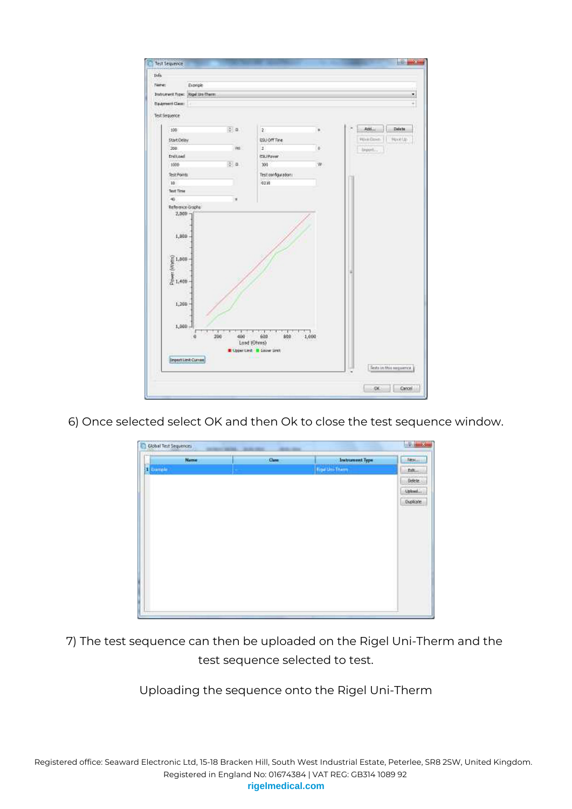| None:                                                                                                                                                                     | Exprise                                  |                 |                                                          |       |          |        |
|---------------------------------------------------------------------------------------------------------------------------------------------------------------------------|------------------------------------------|-----------------|----------------------------------------------------------|-------|----------|--------|
|                                                                                                                                                                           | <b>Judzument Type: Sigel lits Therm:</b> |                 |                                                          |       |          | ż      |
| <b>Dasmert Gen:</b>                                                                                                                                                       |                                          |                 |                                                          |       |          | ÷      |
|                                                                                                                                                                           |                                          |                 |                                                          |       |          |        |
| Test Sequence                                                                                                                                                             |                                          |                 |                                                          |       |          |        |
| 100                                                                                                                                                                       |                                          | $\frac{1}{2}$ . | ş.                                                       | ×     | Addis.   | Delete |
| Start Delay                                                                                                                                                               |                                          |                 | ESJOffTire                                               |       | Wee Down | Novela |
| 200                                                                                                                                                                       |                                          | Veg.            | $\mathbf{1}$                                             | s     | breek.   |        |
| Ericlean                                                                                                                                                                  |                                          |                 | ESUPower                                                 |       |          |        |
| 1000                                                                                                                                                                      |                                          | 2.9.1           | 300                                                      | w     |          |        |
| Test Points                                                                                                                                                               |                                          |                 | Test configurations                                      |       |          |        |
| 10                                                                                                                                                                        |                                          |                 | 0230                                                     |       |          |        |
| <b>Text Time</b>                                                                                                                                                          |                                          |                 |                                                          |       |          |        |
| $\rightarrow$                                                                                                                                                             |                                          |                 |                                                          |       |          |        |
| $\begin{array}{l} \widehat{\mathbb{R}} \,1,000 \\ \widehat{\mathbb{R}} \, \\ \widehat{\mathbb{R}} \, \\ \widehat{\mathbb{R}} \, \\ 1,400 \end{array}$<br>1,200<br>1,000.4 | ŭ                                        | 400<br>200      | 600<br>800<br>Lond (Ohms)<br>E Upper Lind. I Lower Lind. | 1,000 |          |        |
|                                                                                                                                                                           |                                          |                 |                                                          |       |          |        |

6) Once selected select OK and then Ok to close the test sequence window.

| Neme              | Oam | <b>Intrument Type</b>  | <b>Restaura</b> |
|-------------------|-----|------------------------|-----------------|
| <b>B</b> complete |     | <b>Figur Uni-Therm</b> | Felt.           |
|                   |     |                        | <b>Delete</b>   |
|                   |     |                        | Optimit         |
|                   |     |                        | Diplote         |
|                   |     |                        |                 |
|                   |     |                        |                 |
|                   |     |                        |                 |
|                   |     |                        |                 |
|                   |     |                        |                 |
|                   |     |                        |                 |
|                   |     |                        |                 |
|                   |     |                        |                 |
|                   |     |                        |                 |

7) The test sequence can then be uploaded on the Rigel Uni-Therm and the test sequence selected to test.

Uploading the sequence onto the Rigel Uni-Therm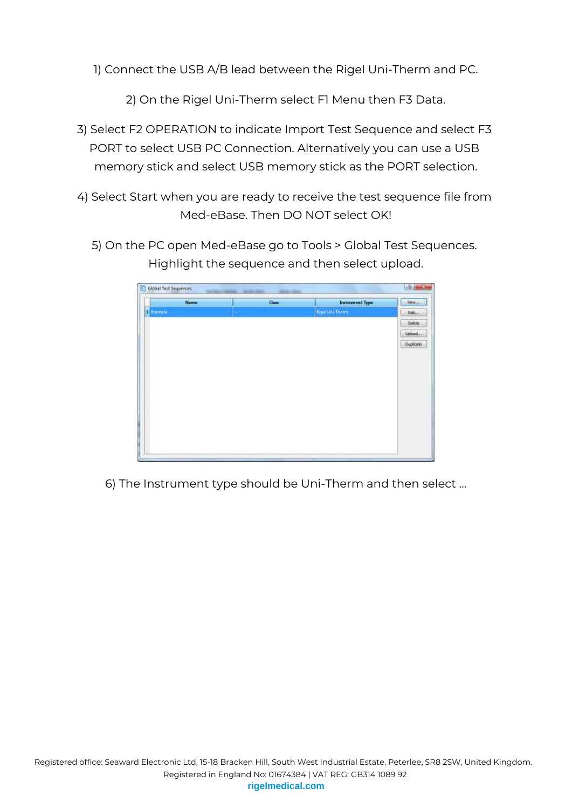1) Connect the USB A/B lead between the Rigel Uni-Therm and PC.

2) On the Rigel Uni-Therm select F1 Menu then F3 Data.

- 3) Select F2 OPERATION to indicate Import Test Sequence and select F3 PORT to select USB PC Connection. Alternatively you can use a USB memory stick and select USB memory stick as the PORT selection.
- 4) Select Start when you are ready to receive the test sequence file from Med-eBase. Then DO NOT select OK!
	- 5) On the PC open Med-eBase go to Tools > Global Test Sequences. Highlight the sequence and then select upload.

| Neme              | O <sub>am</sub> | <b>Intrument Type</b>  | <b>Rosini</b> |
|-------------------|-----------------|------------------------|---------------|
| <b>1</b> complete |                 | <b>Figat Uni-Therm</b> | Prit.         |
|                   |                 |                        | <b>Delete</b> |
|                   |                 |                        | Oplead        |
|                   |                 |                        | Diplote       |
|                   |                 |                        |               |
|                   |                 |                        |               |
|                   |                 |                        |               |
|                   |                 |                        |               |
|                   |                 |                        |               |
|                   |                 |                        |               |
|                   |                 |                        |               |
|                   |                 |                        |               |
|                   |                 |                        |               |

6) The Instrument type should be Uni-Therm and then select …